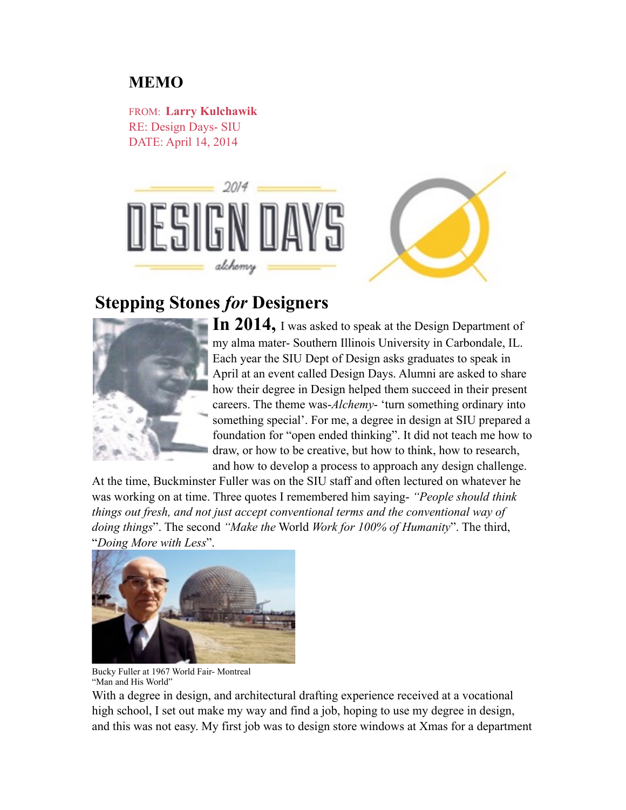## **MEMO**

FROM: **Larry Kulchawik** RE: Design Days- SIU DATE: April 14, 2014



## **Stepping Stones** *for* **Designers**



**In 2014,** I was asked to speak at the Design Department of my alma mater- Southern Illinois University in Carbondale, IL. Each year the SIU Dept of Design asks graduates to speak in April at an event called Design Days. Alumni are asked to share how their degree in Design helped them succeed in their present careers. The theme was-*Alchemy*- 'turn something ordinary into something special'. For me, a degree in design at SIU prepared a foundation for "open ended thinking". It did not teach me how to draw, or how to be creative, but how to think, how to research, and how to develop a process to approach any design challenge.

At the time, Buckminster Fuller was on the SIU staff and often lectured on whatever he was working on at time. Three quotes I remembered him saying- *"People should think things out fresh, and not just accept conventional terms and the conventional way of doing things*". The second *"Make the* World *Work for 100% of Humanity*". The third, "*Doing More with Less*".



Bucky Fuller at 1967 World Fair- Montreal "Man and His World"

With a degree in design, and architectural drafting experience received at a vocational high school, I set out make my way and find a job, hoping to use my degree in design, and this was not easy. My first job was to design store windows at Xmas for a department